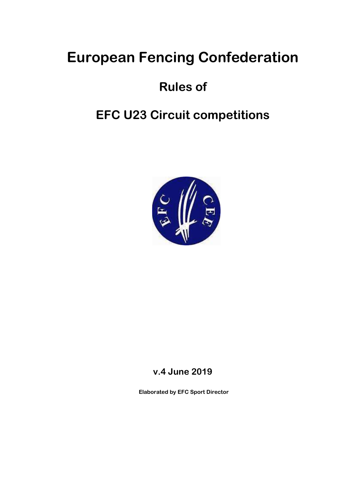## European Fencing Confederation

## Rules of

## EFC U23 Circuit competitions



## v.4 June 2019

Elaborated by EFC Sport Director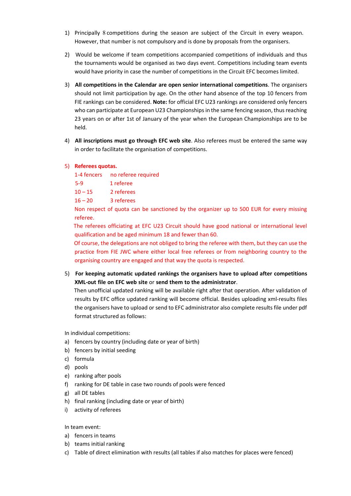- 1) Principally 8 competitions during the season are subject of the Circuit in every weapon. However, that number is not compulsory and is done by proposals from the organisers.
- 2) Would be welcome if team competitions accompanied competitions of individuals and thus the tournaments would be organised as two days event. Competitions including team events would have priority in case the number of competitions in the Circuit EFC becomes limited.
- 3) All competitions in the Calendar are open senior international competitions. The organisers should not limit participation by age. On the other hand absence of the top 10 fencers from FIE rankings can be considered. Note: for official EFC U23 rankings are considered only fencers who can participate at European U23 Championships in the same fencing season, thus reaching 23 years on or after 1st of January of the year when the European Championships are to be held.
- 4) All inscriptions must go through EFC web site. Also referees must be entered the same way in order to facilitate the organisation of competitions.
- 5) Referees quotas.

1-4 fencers no referee required

5-9 1 referee

 $10 - 15$  2 referees

16 – 20 3 referees

 Non respect of quota can be sanctioned by the organizer up to 500 EUR for every missing referee.

 The referees officiating at EFC U23 Circuit should have good national or international level qualification and be aged minimum 18 and fewer than 60.

 Of course, the delegations are not obliged to bring the referee with them, but they can use the practice from FIE JWC where either local free referees or from neighboring country to the organising country are engaged and that way the quota is respected.

5) For keeping automatic updated rankings the organisers have to upload after competitions XML-out file on EFC web site or send them to the administrator.

 Then unofficial updated ranking will be available right after that operation. After validation of results by EFC office updated ranking will become official. Besides uploading xml-results files the organisers have to upload or send to EFC administrator also complete results file under pdf format structured as follows:

In individual competitions:

- a) fencers by country (including date or year of birth)
- b) fencers by initial seeding
- c) formula
- d) pools
- e) ranking after pools
- f) ranking for DE table in case two rounds of pools were fenced
- g) all DE tables
- h) final ranking (including date or year of birth)
- i) activity of referees

In team event:

- a) fencers in teams
- b) teams initial ranking
- c) Table of direct elimination with results (all tables if also matches for places were fenced)